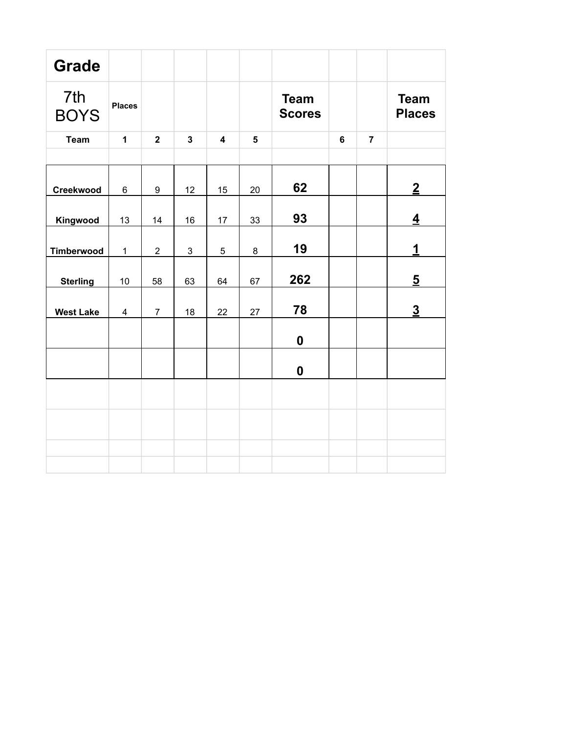| <b>Grade</b>       |                |                |              |                         |                         |                              |                |                |                              |
|--------------------|----------------|----------------|--------------|-------------------------|-------------------------|------------------------------|----------------|----------------|------------------------------|
| 7th<br><b>BOYS</b> | <b>Places</b>  |                |              |                         |                         | <b>Team</b><br><b>Scores</b> |                |                | <b>Team</b><br><b>Places</b> |
| <b>Team</b>        | $\mathbf{1}$   | $\overline{2}$ | $\mathbf{3}$ | $\overline{\mathbf{4}}$ | $\overline{\mathbf{5}}$ |                              | $6\phantom{a}$ | $\overline{7}$ |                              |
|                    |                |                |              |                         |                         |                              |                |                |                              |
| Creekwood          | 6              | 9              | 12           | 15                      | 20                      | 62                           |                |                | $\overline{2}$               |
| Kingwood           | 13             | 14             | 16           | 17                      | 33                      | 93                           |                |                | $\overline{4}$               |
| <b>Timberwood</b>  | $\mathbf 1$    | $\overline{2}$ | 3            | $\overline{5}$          | 8                       | 19                           |                |                | $\mathbf{1}$                 |
| <b>Sterling</b>    | 10             | 58             | 63           | 64                      | 67                      | 262                          |                |                | $\overline{5}$               |
| <b>West Lake</b>   | $\overline{4}$ | $\overline{7}$ | 18           | 22                      | 27                      | 78                           |                |                | $\overline{3}$               |
|                    |                |                |              |                         |                         | $\boldsymbol{0}$             |                |                |                              |
|                    |                |                |              |                         |                         | $\boldsymbol{0}$             |                |                |                              |
|                    |                |                |              |                         |                         |                              |                |                |                              |
|                    |                |                |              |                         |                         |                              |                |                |                              |
|                    |                |                |              |                         |                         |                              |                |                |                              |
|                    |                |                |              |                         |                         |                              |                |                |                              |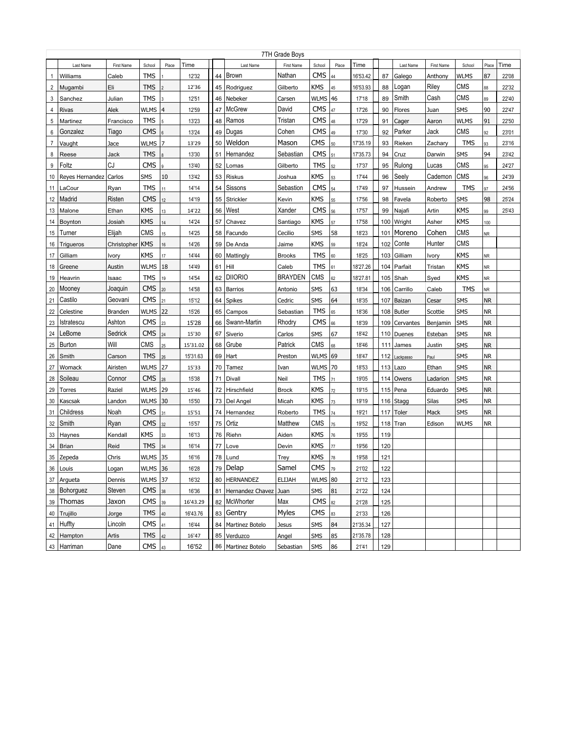|                |                 |                |                     |           |          |    |                      | 7TH Grade Boys |             |       |          |     |               |            |             |           |       |
|----------------|-----------------|----------------|---------------------|-----------|----------|----|----------------------|----------------|-------------|-------|----------|-----|---------------|------------|-------------|-----------|-------|
|                | Last Name       | First Name     | School              | Place     | Time     |    | Last Name            | First Name     | School      | Place | Time     |     | Last Name     | First Name | School      | Place     | Time  |
| $\mathbf{1}$   | Williams        | Caleb          | TMS                 |           | 12'32    | 44 | <b>Brown</b>         | Nathan         | <b>CMS</b>  | 44    | 16'53.42 | 87  | Galego        | Anthony    | <b>WLMS</b> | 87        | 22'08 |
| $\overline{2}$ | Mugambi         | Eli            | <b>TMS</b>          |           | 12'36    | 45 | Rodriguez            | Gilberto       | KMS         | 45    | 16'53.93 | 88  | Logan         | Riley      | CMS         | 88        | 22'32 |
| 3              | Sanchez         | Julian         | <b>TMS</b>          |           | 12'51    | 46 | Nebeker              | Carsen         | WLMS        | 46    | 17'18    | 89  | Smith         | Cash       | CMS         | 89        | 22'40 |
| 4              | Rivas           | Alek           | WLMS                | $\vert 4$ | 12'59    | 47 | <b>McGrew</b>        | David          | <b>CMS</b>  | 47    | 17'26    | 90  | Flores        | Juan       | SMS         | 90        | 22'47 |
| 5              | Martinez        | Francisco      | <b>TMS</b>          |           | 13'23    | 48 | Ramos                | Tristan        | <b>CMS</b>  | 48    | 17'29    | 91  | Cager         | Aaron      | <b>WLMS</b> | 91        | 22'50 |
| 6              | Gonzalez        | Tiago          | <b>CMS</b>          | 6         | 13'24    | 49 | Dugas                | Cohen          | <b>CMS</b>  | 49    | 17'30    | 92  | Parker        | Jack       | <b>CMS</b>  | 92        | 23'01 |
| $\overline{7}$ | Vaught          | Jace           | WLMS                | 7         | 13'29    | 50 | Weldon               | Mason          | <b>CMS</b>  | 50    | 17'35.19 | 93  | Rieken        | Zachary    | <b>TMS</b>  | 93        | 23'16 |
| 8              | Reese           | Jack           | <b>TMS</b>          |           | 13'30    | 51 | Hernandez            | Sebastian      | <b>CMS</b>  | 51    | 17'35.73 | 94  | Cruz          | Darwin     | SMS         | 94        | 23'42 |
| 9              | Foltz           | CJ             | <b>CMS</b>          |           | 13'40    | 52 | Lomas                | Gilberto       | <b>TMS</b>  | 52    | 17'37    | 95  | Rulong        | Lucas      | CMS         | 95        | 24'27 |
| 10             | Reyes Hernandez | Carlos         | SMS                 | 10        | 13'42    | 53 | Riskus               | Joshua         | KMS         | 53    | 17'44    | 96  | Seely         | Cademon    | <b>CMS</b>  | 96        | 24'39 |
| 11             | LaCour          | Ryan           | <b>TMS</b>          | 11        | 14'14    | 54 | Sissons              | Sebastion      | <b>CMS</b>  | 54    | 17'49    | 97  | Hussein       | Andrew     | <b>TMS</b>  | 97        | 24'56 |
| 12             | Madrid          | Risten         | <b>CMS</b>          | 12        | 14'19    | 55 | Strickler            | Kevin          | KMS         | 55    | 17'56    | 98  | Favela        | Roberto    | SMS         | 98        | 25'24 |
| 13             | Malone          | Ethan          | KMS                 | 13        | 14'22    | 56 | West                 | Xander         | <b>CMS</b>  | 56    | 17'57    | 99  | Najafi        | Artin      | <b>KMS</b>  | 99        | 25'43 |
| 14             | Boynton         | Josiah         | <b>KMS</b>          | 14        | 14'24    | 57 | Chavez               | Santiago       | KMS         | 57    | 17'58    | 100 | Wright        | Asher      | <b>KMS</b>  | 100       |       |
| 15             | Turner          | Elijah         | CMS                 | 15        | 14'25    | 58 | Facundo              | Cecilio        | <b>SMS</b>  | 58    | 18'23    | 101 | Moreno        | Cohen      | CMS         | <b>NR</b> |       |
| 16             | Trigueros       | Christopher    | <b>KMS</b>          | 16        | 14'26    | 59 | De Anda              | Jaime          | <b>KMS</b>  | 59    | 18'24    | 102 | Conte         | Hunter     | CMS         |           |       |
| 17             | Gilliam         | Ivory          | <b>KMS</b>          | 17        | 14'44    | 60 | Mattingly            | <b>Brooks</b>  | <b>TMS</b>  | 60    | 18'25    | 103 | Gilliam       | Ivory      | <b>KMS</b>  | <b>NR</b> |       |
| 18             | Greene          | Austin         | <b>WLMS</b>         | 18        | 14'49    | 61 | Hill                 | Caleb          | <b>TMS</b>  | 61    | 18'27.26 | 104 | Parfait       | Tristan    | <b>KMS</b>  | <b>NR</b> |       |
| 19             | Heavrin         | Isaac          | <b>TMS</b>          | 19        | 14'54    | 62 | <b>DIIORIO</b>       | <b>BRAYDEN</b> | CMS         | 62    | 18'27.81 | 105 | Shah          | Syed       | <b>KMS</b>  | <b>NR</b> |       |
| 20             | Mooney          | Joaquin        | <b>CMS</b>          | 20        | 14'58    | 63 | <b>Barrios</b>       | Antonio        | <b>SMS</b>  | 63    | 18'34    | 106 | Carrillo      | Caleb      | <b>TMS</b>  | <b>NR</b> |       |
| 21             | Castilo         | Geovani        | <b>CMS</b>          | 21        | 15'12    | 64 | <b>Spikes</b>        | Cedric         | <b>SMS</b>  | 64    | 18'35    | 107 | Baizan        | Cesar      | SMS         | <b>NR</b> |       |
| 22             | Celestine       | <b>Branden</b> | WLMS                | 22        | 15'26    | 65 | Campos               | Sebastian      | TMS         | 65    | 18'36    | 108 | <b>Butler</b> | Scottie    | <b>SMS</b>  | <b>NR</b> |       |
| 23             | Istratescu      | Ashton         | <b>CMS</b>          | 23        | 15'28    | 66 | Swann-Martin         | Rhodry         | <b>CMS</b>  | 66    | 18'39    | 109 | Cervantes     | Benjamin   | SMS         | <b>NR</b> |       |
| 24             | LeBome          | Sedrick        | <b>CMS</b>          | 24        | 15'30    | 67 | Siverio              | Carlos         | <b>SMS</b>  | 67    | 18'42    | 110 | Duenes        | Esteban    | SMS         | <b>NR</b> |       |
| 25             | Burton          | Will           | CMS                 | 25        | 15'31.02 | 68 | Grube                | Patrick        | CMS         | 68    | 18'46    | 111 | James         | Justin     | <b>SMS</b>  | <b>NR</b> |       |
| 26             | Smith           | Carson         | <b>TMS</b>          | 26        | 15'31.63 | 69 | Hart                 | Preston        | <b>WLMS</b> | 69    | 18'47    | 112 | Lackpasso     | Paul       | <b>SMS</b>  | <b>NR</b> |       |
| 27             | Womack          | Airisten       | WLMS                | 27        | 15'33    | 70 | Tamez                | Ivan           | WLMS   70   |       | 18'53    | 113 | Lazo          | Ethan      | SMS         | <b>NR</b> |       |
| 28             | Soileau         | Connor         | <b>CMS</b>          | 28        | 15'38    | 71 | Divall               | Neil           | <b>TMS</b>  | 71    | 19'05    | 114 | Owens         | Ladarion   | SMS         | <b>NR</b> |       |
| 29             | Torres          | Raziel         | WLMS                | 29        | 15'46    |    | 72 Hirschfield       | <b>Brock</b>   | KMS         | 72    | 19'15    | 115 | Pena          | Eduardo    | SMS         | <b>NR</b> |       |
| 30             | Kascsak         | Landon         | <b>WLMS 30</b>      |           | 15'50    |    | 73   Del Angel       | Micah          | KMS         | 73    | 19'19    |     | 116   Stagg   | Silas      | SMS         | <b>NR</b> |       |
| 31             | Childress       | Noah           | <b>CMS</b>          | 31        | 15'51    |    | 74 Hernandez         | Roberto        | <b>TMS</b>  | 74    | 19'21    | 117 | Toler         | Mack       | SMS         | <b>NR</b> |       |
| 32             | Smith           | Ryan           | <b>CMS</b>          | 32        | 15'57    | 75 | Ortiz                | Matthew        | CMS         | 75    | 19'52    | 118 | Tran          | Edison     | <b>WLMS</b> | <b>NR</b> |       |
| 33             | Haynes          | Kendall        | KMS                 | 33        | 16'13    | 76 | Riehn                | Aiden          | <b>KMS</b>  | 76    | 19'55    | 119 |               |            |             |           |       |
| 34             | Brian           | Reid           | <b>TMS</b>          | 34        | 16'14    | 77 | Love                 | Devin          | KMS         | 77    | 19'56    | 120 |               |            |             |           |       |
|                | 35 Zepeda       | Chris          | WLMS                | 35        | 16'16    |    | 78 Lund              | Trey           | KMS         | 78    | 19'58    | 121 |               |            |             |           |       |
|                | 36 Louis        | Logan          | WLMS 36             |           | 16'28    |    | 79 Delap             | Samel          | $CMS$ 79    |       | 21'02    | 122 |               |            |             |           |       |
|                | 37 Argueta      | Dennis         | WLMS 37             |           | 16'32    |    | 80 HERNANDEZ         | ELIJAH         | WLMS 80     |       | 21'12    | 123 |               |            |             |           |       |
|                | 38 Bohorguez    | Steven         | $CMS$ <sub>38</sub> |           | 16'36    |    | 81 Hernandez Chavez  | Juan           | SMS         | 81    | 21'22    | 124 |               |            |             |           |       |
|                | 39 Thomas       | Jaxon          | $CMS$ 39            |           | 16'43.29 |    | 82   McWhorter       | Max            | <b>CMS</b>  | 82    | 21'28    | 125 |               |            |             |           |       |
|                | 40 Trujillo     | Jorge          | $TMS$ 40            |           | 16'43.76 |    | 83 Gentry            | Myles          | CMS         | 83    | 21'33    | 126 |               |            |             |           |       |
|                | 41 Huffty       | Lincoln        | CMS                 | 41        | 16'44    |    | 84   Martinez Botelo | Jesus          | SMS         | 84    | 21'35.34 | 127 |               |            |             |           |       |
|                | 42 Hampton      | Artis          | $TMS$ 42            |           | 16'47    |    | 85 Verduzco          | Angel          | SMS         | 85    | 21'35.78 | 128 |               |            |             |           |       |
|                | 43 Harriman     | Dane           | $CMS$ 43            |           | 16'52    |    | 86 Martinez Botelo   | Sebastian      |             | 86    | 21'41    | 129 |               |            |             |           |       |
|                |                 |                |                     |           |          |    |                      |                | SMS         |       |          |     |               |            |             |           |       |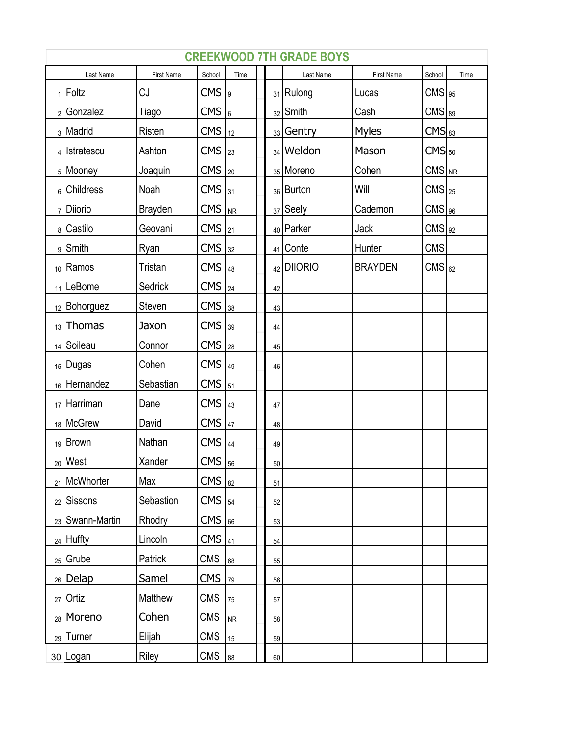| <b>CREEKWOOD 7TH GRADE BOYS</b><br><b>First Name</b><br>Last Name<br>School<br>Last Name<br>First Name<br>School<br>Time<br>Time |                              |                |                     |    |  |        |                        |                |                     |  |  |
|----------------------------------------------------------------------------------------------------------------------------------|------------------------------|----------------|---------------------|----|--|--------|------------------------|----------------|---------------------|--|--|
|                                                                                                                                  |                              |                |                     |    |  |        |                        |                |                     |  |  |
|                                                                                                                                  | $_1$   Foltz                 | CJ             | $CMS$   9           |    |  |        | $_{31}$ Rulong         | Lucas          | $CMS$ <sub>95</sub> |  |  |
| 2 <sup>1</sup>                                                                                                                   | Gonzalez                     | Tiago          | $CMS$ <sub>6</sub>  |    |  |        | $_{32}$ Smith          | Cash           | $CMS$ <sub>89</sub> |  |  |
|                                                                                                                                  | 3   Madrid                   | <b>Risten</b>  | CMS   <sub>12</sub> |    |  |        | $_{33}$ Gentry         | <b>Myles</b>   | CMS <sub>83</sub>   |  |  |
|                                                                                                                                  | 4   Istratescu               | Ashton         | $CMS$ <sub>23</sub> |    |  |        | $34$ Weldon            | Mason          | CMS <sub>50</sub>   |  |  |
|                                                                                                                                  | 5   Mooney                   | Joaquin        | $CMS$ <sub>20</sub> |    |  |        | 35   Moreno            | Cohen          | $CMS$ <sub>NR</sub> |  |  |
|                                                                                                                                  | 6 Childress                  | Noah           | $CMS$ <sub>31</sub> |    |  |        | 36 Burton              | Will           | $CMS$ <sub>25</sub> |  |  |
| 7 <sup>1</sup>                                                                                                                   | Diiorio                      | <b>Brayden</b> | $CMS$ $ _{NR}$      |    |  |        | $37$ Seely             | Cademon        | $CMS$ <sub>96</sub> |  |  |
|                                                                                                                                  | 8 Castilo                    | Geovani        | CMS   <sub>21</sub> |    |  |        | <sub>40</sub>   Parker | Jack           | $CMS$ <sub>92</sub> |  |  |
|                                                                                                                                  | 9 Smith                      | Ryan           | $CMS  _{32}$        |    |  | 41     | Conte                  | Hunter         | <b>CMS</b>          |  |  |
|                                                                                                                                  | 10 Ramos                     | Tristan        | $CMS$ $ _{48}$      |    |  |        | 42 DIIORIO             | <b>BRAYDEN</b> | $CMS$ <sub>62</sub> |  |  |
|                                                                                                                                  | 11 LeBome                    | Sedrick        | $CMS  _{24}$        |    |  | 42     |                        |                |                     |  |  |
|                                                                                                                                  | $_{12}$ Bohorguez            | Steven         | $CMS  _{38}$        |    |  | 43     |                        |                |                     |  |  |
|                                                                                                                                  | $_{13}$ Thomas               | Jaxon          | $CMS$ 39            |    |  | 44     |                        |                |                     |  |  |
|                                                                                                                                  | 14 Soileau                   | Connor         | $CMS$ <sub>28</sub> |    |  | 45     |                        |                |                     |  |  |
|                                                                                                                                  | $_{15}$ Dugas                | Cohen          | $CMS$ 49            |    |  | 46     |                        |                |                     |  |  |
|                                                                                                                                  | $_{16}$ Hernandez            | Sebastian      | $CMS$ <sub>51</sub> |    |  |        |                        |                |                     |  |  |
|                                                                                                                                  | $_{17}$ Harriman             | Dane           | $CMS$  43           |    |  | 47     |                        |                |                     |  |  |
|                                                                                                                                  | 18 McGrew                    | David          | CMS <u>147</u>      |    |  | 48     |                        |                |                     |  |  |
|                                                                                                                                  | $19$ Brown                   | Nathan         | $CMS  _{44}$        |    |  | 49     |                        |                |                     |  |  |
|                                                                                                                                  | $_{20}$ West                 | Xander         | $CMS$ <sub>56</sub> |    |  | $50\,$ |                        |                |                     |  |  |
|                                                                                                                                  | 21 McWhorter                 | Max            | $CMS  _{82}$        |    |  | 51     |                        |                |                     |  |  |
|                                                                                                                                  | <sub>22</sub> Sissons        | Sebastion      | CMS <u>54</u>       |    |  | 52     |                        |                |                     |  |  |
|                                                                                                                                  | <sub>23</sub>   Swann-Martin | Rhodry         | CMS <sub>66</sub>   |    |  | 53     |                        |                |                     |  |  |
|                                                                                                                                  | 24 Huffty                    | Lincoln        | $CMS$ <sub>41</sub> |    |  | 54     |                        |                |                     |  |  |
|                                                                                                                                  | $_{25}$ Grube                | Patrick        | <b>CMS</b>          | 68 |  | 55     |                        |                |                     |  |  |
|                                                                                                                                  | $_{26}$ Delap                | Samel          | CMS <u>179</u>      |    |  | 56     |                        |                |                     |  |  |
|                                                                                                                                  | $_{27}$ Ortiz                | Matthew        | <b>CMS</b>          | 75 |  | 57     |                        |                |                     |  |  |
|                                                                                                                                  | <sub>28</sub> Moreno         | Cohen          | <b>CMS</b>          | NR |  | 58     |                        |                |                     |  |  |
|                                                                                                                                  | $_{29}$ Turner               | Elijah         | <b>CMS</b>          | 15 |  | 59     |                        |                |                     |  |  |
|                                                                                                                                  | 30 Logan                     | Riley          | <b>CMS</b>          | 88 |  | 60     |                        |                |                     |  |  |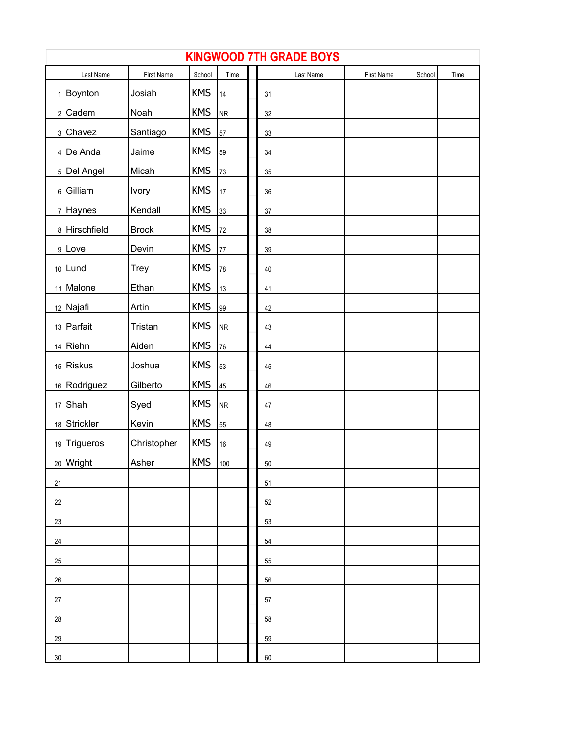|    | <b>KINGWOOD 7TH GRADE BOYS</b> |              |            |            |  |        |           |            |        |      |  |  |
|----|--------------------------------|--------------|------------|------------|--|--------|-----------|------------|--------|------|--|--|
|    | Last Name                      | First Name   | School     | Time       |  |        | Last Name | First Name | School | Time |  |  |
|    | $1$ Boynton                    | Josiah       | <b>KMS</b> | 14         |  | 31     |           |            |        |      |  |  |
|    | $2$ Cadem                      | Noah         | <b>KMS</b> | ${\sf NR}$ |  | 32     |           |            |        |      |  |  |
|    | 3 Chavez                       | Santiago     | <b>KMS</b> | 57         |  | 33     |           |            |        |      |  |  |
|    | $4$ De Anda                    | Jaime        | <b>KMS</b> | 59         |  | 34     |           |            |        |      |  |  |
|    | $5$ Del Angel                  | Micah        | <b>KMS</b> | 73         |  | 35     |           |            |        |      |  |  |
|    | $6$ Gilliam                    | <b>Ivory</b> | <b>KMS</b> | $17\,$     |  | $36\,$ |           |            |        |      |  |  |
|    | $7$ Haynes                     | Kendall      | <b>KMS</b> | 33         |  | 37     |           |            |        |      |  |  |
|    | 8 Hirschfield                  | <b>Brock</b> | <b>KMS</b> | $72\,$     |  | 38     |           |            |        |      |  |  |
|    | $9$  Love                      | Devin        | <b>KMS</b> | $77\,$     |  | 39     |           |            |        |      |  |  |
|    | $10$   Lund                    | Trey         | <b>KMS</b> | 78         |  | 40     |           |            |        |      |  |  |
|    | 11 Malone                      | Ethan        | <b>KMS</b> | 13         |  | 41     |           |            |        |      |  |  |
|    | 12 Najafi                      | Artin        | <b>KMS</b> | 99         |  | 42     |           |            |        |      |  |  |
|    | 13 Parfait                     | Tristan      | <b>KMS</b> | ${\sf NR}$ |  | 43     |           |            |        |      |  |  |
|    | $14$ Riehn                     | Aiden        | <b>KMS</b> | 76         |  | 44     |           |            |        |      |  |  |
|    | $15$ Riskus                    | Joshua       | <b>KMS</b> | 53         |  | 45     |           |            |        |      |  |  |
|    | 16 Rodriguez                   | Gilberto     | <b>KMS</b> | 45         |  | 46     |           |            |        |      |  |  |
|    | $17$ Shah                      | Syed         | <b>KMS</b> | ${\sf NR}$ |  | 47     |           |            |        |      |  |  |
|    | 18 Strickler                   | Kevin        | <b>KMS</b> | 55         |  | 48     |           |            |        |      |  |  |
|    | 19 Trigueros                   | Christopher  | <b>KMS</b> | $16\,$     |  | 49     |           |            |        |      |  |  |
|    | 20 Wright                      | Asher        | <b>KMS</b> | 100        |  | 50     |           |            |        |      |  |  |
| 21 |                                |              |            |            |  | 51     |           |            |        |      |  |  |
| 22 |                                |              |            |            |  | 52     |           |            |        |      |  |  |
| 23 |                                |              |            |            |  | 53     |           |            |        |      |  |  |
| 24 |                                |              |            |            |  | 54     |           |            |        |      |  |  |
| 25 |                                |              |            |            |  | 55     |           |            |        |      |  |  |
| 26 |                                |              |            |            |  | 56     |           |            |        |      |  |  |
| 27 |                                |              |            |            |  | 57     |           |            |        |      |  |  |
| 28 |                                |              |            |            |  | 58     |           |            |        |      |  |  |
| 29 |                                |              |            |            |  | 59     |           |            |        |      |  |  |
| 30 |                                |              |            |            |  | 60     |           |            |        |      |  |  |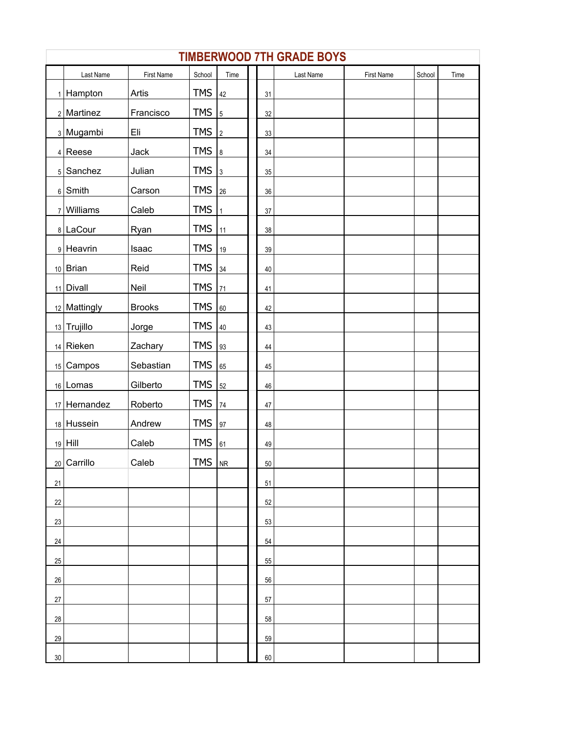|        | <b>TIMBERWOOD 7TH GRADE BOYS</b> |               |            |                |  |        |           |            |        |      |  |  |
|--------|----------------------------------|---------------|------------|----------------|--|--------|-----------|------------|--------|------|--|--|
|        | Last Name                        | First Name    | School     | Time           |  |        | Last Name | First Name | School | Time |  |  |
| 1      | Hampton                          | Artis         | <b>TMS</b> | 42             |  | 31     |           |            |        |      |  |  |
|        | $2$ Martinez                     | Francisco     | <b>TMS</b> | $\overline{5}$ |  | 32     |           |            |        |      |  |  |
|        | 3 Mugambi                        | Eli           | <b>TMS</b> | $\vert$ 2      |  | 33     |           |            |        |      |  |  |
|        | $4$ Reese                        | Jack          | <b>TMS</b> | 8              |  | 34     |           |            |        |      |  |  |
|        | $5$ Sanchez                      | Julian        | <b>TMS</b> | $\vert$ 3      |  | 35     |           |            |        |      |  |  |
|        | $6$ Smith                        | Carson        | <b>TMS</b> | 26             |  | 36     |           |            |        |      |  |  |
|        | $7$ Williams                     | Caleb         | <b>TMS</b> | $\mathbf{1}$   |  | $37\,$ |           |            |        |      |  |  |
|        | 8 LaCour                         | Ryan          | <b>TMS</b> | 11             |  | 38     |           |            |        |      |  |  |
|        | 9 Heavrin                        | Isaac         | <b>TMS</b> | 19             |  | 39     |           |            |        |      |  |  |
|        | $10$ Brian                       | Reid          | <b>TMS</b> | 34             |  | 40     |           |            |        |      |  |  |
|        | 11 Divall                        | Neil          | <b>TMS</b> | 71             |  | 41     |           |            |        |      |  |  |
|        | 12 Mattingly                     | <b>Brooks</b> | <b>TMS</b> | 60             |  | 42     |           |            |        |      |  |  |
|        | 13 Trujillo                      | Jorge         | <b>TMS</b> | 40             |  | 43     |           |            |        |      |  |  |
|        | $14$ Rieken                      | Zachary       | <b>TMS</b> | 93             |  | 44     |           |            |        |      |  |  |
|        | 15 Campos                        | Sebastian     | <b>TMS</b> | 65             |  | $45\,$ |           |            |        |      |  |  |
|        | 16 Lomas                         | Gilberto      | <b>TMS</b> | 52             |  | 46     |           |            |        |      |  |  |
|        | 17 Hernandez                     | Roberto       | <b>TMS</b> | 74             |  | 47     |           |            |        |      |  |  |
|        | 18 Hussein                       | Andrew        | <b>TMS</b> | 97             |  | 48     |           |            |        |      |  |  |
|        | $19$ Hill                        | Caleb         | <b>TMS</b> | 61             |  | 49     |           |            |        |      |  |  |
|        | 20 Carrillo                      | Caleb         | $TMS$   NR |                |  | 50     |           |            |        |      |  |  |
| 21     |                                  |               |            |                |  | 51     |           |            |        |      |  |  |
| 22     |                                  |               |            |                |  | 52     |           |            |        |      |  |  |
| 23     |                                  |               |            |                |  | 53     |           |            |        |      |  |  |
| 24     |                                  |               |            |                |  | 54     |           |            |        |      |  |  |
| 25     |                                  |               |            |                |  | 55     |           |            |        |      |  |  |
| 26     |                                  |               |            |                |  | 56     |           |            |        |      |  |  |
| 27     |                                  |               |            |                |  | 57     |           |            |        |      |  |  |
| 28     |                                  |               |            |                |  | 58     |           |            |        |      |  |  |
| 29     |                                  |               |            |                |  | 59     |           |            |        |      |  |  |
| $30\,$ |                                  |               |            |                |  | 60     |           |            |        |      |  |  |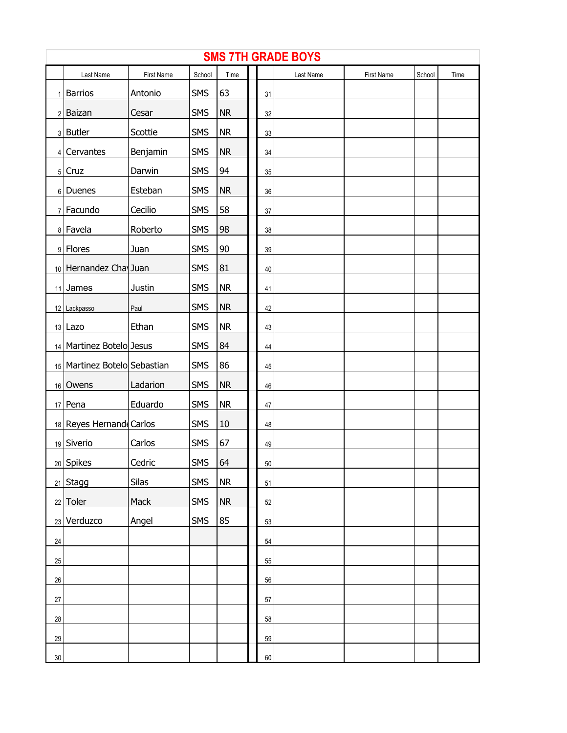|                | <b>SMS 7TH GRADE BOYS</b>    |            |            |           |  |                 |           |            |        |      |  |  |
|----------------|------------------------------|------------|------------|-----------|--|-----------------|-----------|------------|--------|------|--|--|
|                | Last Name                    | First Name | School     | Time      |  |                 | Last Name | First Name | School | Time |  |  |
| 1 <sup>1</sup> | <b>Barrios</b>               | Antonio    | <b>SMS</b> | 63        |  | 31              |           |            |        |      |  |  |
|                | 2 Baizan                     | Cesar      | <b>SMS</b> | <b>NR</b> |  | 32              |           |            |        |      |  |  |
|                | $3$ Butler                   | Scottie    | <b>SMS</b> | <b>NR</b> |  | 33              |           |            |        |      |  |  |
|                | 4 Cervantes                  | Benjamin   | <b>SMS</b> | <b>NR</b> |  | 34              |           |            |        |      |  |  |
|                | $5$ Cruz                     | Darwin     | <b>SMS</b> | 94        |  | 35              |           |            |        |      |  |  |
|                | 6 Duenes                     | Esteban    | <b>SMS</b> | <b>NR</b> |  | $36\,$          |           |            |        |      |  |  |
|                | 7 Facundo                    | Cecilio    | <b>SMS</b> | 58        |  | 37              |           |            |        |      |  |  |
|                | 8 Favela                     | Roberto    | <b>SMS</b> | 98        |  | 38              |           |            |        |      |  |  |
|                | 9 Flores                     | Juan       | <b>SMS</b> | 90        |  | 39              |           |            |        |      |  |  |
|                | 10 Hernandez Cha Juan        |            | <b>SMS</b> | 81        |  | 40              |           |            |        |      |  |  |
|                | $11$ James                   | Justin     | <b>SMS</b> | <b>NR</b> |  | 41              |           |            |        |      |  |  |
|                | 12 Lackpasso                 | Paul       | <b>SMS</b> | <b>NR</b> |  | 42              |           |            |        |      |  |  |
|                | $13$ Lazo                    | Ethan      | <b>SMS</b> | <b>NR</b> |  | 43              |           |            |        |      |  |  |
|                | 14   Martinez Botelo Jesus   |            | <b>SMS</b> | 84        |  | 44              |           |            |        |      |  |  |
|                | 15 Martinez Botelo Sebastian |            | <b>SMS</b> | 86        |  | 45              |           |            |        |      |  |  |
|                | 16 Owens                     | Ladarion   | <b>SMS</b> | <b>NR</b> |  | 46              |           |            |        |      |  |  |
|                | $17$ Pena                    | Eduardo    | <b>SMS</b> | <b>NR</b> |  | 47              |           |            |        |      |  |  |
|                | 18 Reyes Hernand Carlos      |            | <b>SMS</b> | 10        |  | 48              |           |            |        |      |  |  |
|                | 19 Siverio                   | Carlos     | <b>SMS</b> | 67        |  | 49              |           |            |        |      |  |  |
|                | 20 Spikes                    | Cedric     | <b>SMS</b> | 64        |  | 50 <sub>2</sub> |           |            |        |      |  |  |
|                | $21$ Stagg                   | Silas      | <b>SMS</b> | <b>NR</b> |  | 51              |           |            |        |      |  |  |
|                | $22$ Toler                   | Mack       | <b>SMS</b> | <b>NR</b> |  | 52              |           |            |        |      |  |  |
|                | 23 Verduzco                  | Angel      | <b>SMS</b> | 85        |  | 53              |           |            |        |      |  |  |
| $24\,$         |                              |            |            |           |  | 54              |           |            |        |      |  |  |
| 25             |                              |            |            |           |  | 55              |           |            |        |      |  |  |
| $26\,$         |                              |            |            |           |  | 56              |           |            |        |      |  |  |
| $27\,$         |                              |            |            |           |  | 57              |           |            |        |      |  |  |
| $28\,$         |                              |            |            |           |  | 58              |           |            |        |      |  |  |
| 29             |                              |            |            |           |  | 59              |           |            |        |      |  |  |
| $30\,$         |                              |            |            |           |  | 60              |           |            |        |      |  |  |